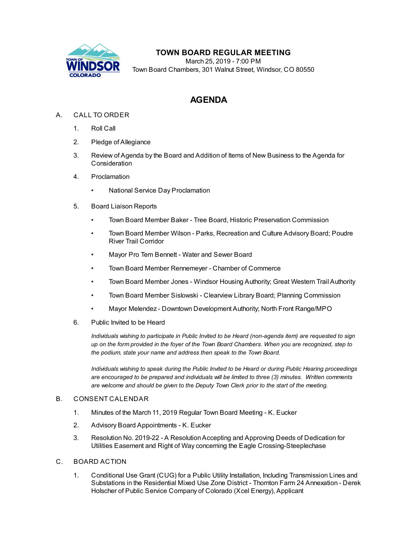

## **TOWN BOARD REGULAR MEETING**

March 25, 2019 - 7:00 PM Town Board Chambers, 301 Walnut Street, Windsor, CO 80550

# **AGENDA**

### A. CALL TO ORDER

- 1. Roll Call
- 2. Pledge of Allegiance
- 3. Review of Agenda by the Board and Addition of Items of New Business to the Agenda for Consideration
- 4. Proclamation
	- National Service Day [Proclamation](file:///C:/Windows/TEMP/CoverSheet.aspx?ItemID=273&MeetingID=43)
- 5. Board Liaison Reports
	- Town Board Member Baker Tree Board, Historic Preservation Commission
	- Town Board Member Wilson Parks, Recreation and Culture Advisory Board; Poudre River Trail Corridor
	- Mayor Pro Tem Bennett Water and Sewer Board
	- Town Board Member Rennemeyer Chamber of Commerce
	- Town Board Member Jones Windsor Housing Authority; Great Western Trail Authority
	- Town Board Member Sislowski Clearview Library Board; Planning Commission
	- Mayor Melendez Downtown Development Authority; North Front Range/MPO
- 6. Public Invited to be Heard

*Individuals wishing to participate in Public Invited to be Heard (non-agenda item) are requested to sign* up on the form provided in the foyer of the Town Board Chambers. When you are recognized, step to *the podium, state your name and address then speak to the Town Board.*

*Individuals wishing to speak during the Public Invited to be Heard or during Public Hearing proceedings are encouraged to be prepared and individuals will be limited to three (3) minutes. Written comments are welcome and should be given to the Deputy Town Clerk prior to the start of the meeting.*

#### B. CONSENT CALENDAR

- 1. Minutes of the March 11, 2019 Regular Town Board [Meeting](file:///C:/Windows/TEMP/CoverSheet.aspx?ItemID=287&MeetingID=43) K. Eucker
- 2. Advisory Board [Appointments](file:///C:/Windows/TEMP/CoverSheet.aspx?ItemID=286&MeetingID=43) K. Eucker
- 3. Resolution No. 2019-22 A [ResolutionAccepting](file:///C:/Windows/TEMP/CoverSheet.aspx?ItemID=285&MeetingID=43) and Approving Deeds of Dedication for Utilities Easement and Right of Way concerning the Eagle Crossing-Steeplechase
- C. BOARD ACTION
	- 1. Conditional Use Grant (CUG) for a Public Utility Installation, Including [Transmission](file:///C:/Windows/TEMP/CoverSheet.aspx?ItemID=290&MeetingID=43) Lines and Substations in the Residential Mixed Use Zone District - Thornton Farm 24 Annexation - Derek Holscher of Public Service Company of Colorado (Xcel Energy), Applicant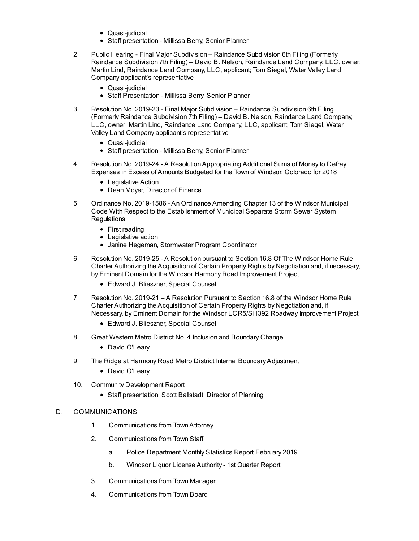- Quasi-judicial
- Staff presentation Millissa Berry, Senior Planner
- 2. Public Hearing Final Major Subdivision Raindance Subdivision 6th Filing (Formerly Raindance Subdivision 7th Filing) – David B. Nelson, Raindance Land Company, LLC, owner; Martin Lind, Raindance Land Company, LLC, applicant; Tom Siegel, Water Valley Land Company applicant's [representative](file:///C:/Windows/TEMP/CoverSheet.aspx?ItemID=269&MeetingID=43)
	- Quasi-iudicial
	- Staff Presentation Millissa Berry, Senior Planner
- 3. Resolution No. 2019-23 Final Major Subdivision Raindance Subdivision 6th Filing (Formerly Raindance Subdivision 7th Filing) – David B. Nelson, Raindance Land Company, LLC, owner; Martin Lind, Raindance Land Company, LLC, applicant; Tom Siegel, Water Valley Land Company applicant's [representative](file:///C:/Windows/TEMP/CoverSheet.aspx?ItemID=270&MeetingID=43)
	- Quasi-judicial
	- Staff presentation Millissa Berry, Senior Planner
- 4. Resolution No. 2019-24 A [ResolutionAppropriating](file:///C:/Windows/TEMP/CoverSheet.aspx?ItemID=284&MeetingID=43) Additional Sums of Money to Defray Expenses in Excess of Amounts Budgeted for the Town of Windsor, Colorado for 2018
	- Legislative Action
	- Dean Moyer, Director of Finance
- 5. Ordinance No. 2019-1586 An Ordinance Amending Chapter 13 of the Windsor Municipal Code With Respect to the [Establishment](file:///C:/Windows/TEMP/CoverSheet.aspx?ItemID=274&MeetingID=43) of Municipal Separate Storm Sewer System **Regulations** 
	- First reading
	- Legislative action
	- Janine Hegeman, Stormwater Program Coordinator
- 6. Resolution No. 2019-25 A Resolution pursuant to Section 16.8 Of The Windsor Home Rule Charter Authorizing the Acquisition of Certain Property Rights by Negotiation and, if necessary, by Eminent Domain for the Windsor Harmony Road [Improvement](file:///C:/Windows/TEMP/CoverSheet.aspx?ItemID=281&MeetingID=43) Project
	- Edward J. Blieszner, Special Counsel
- 7. Resolution No. 2019-21 A Resolution Pursuant to Section 16.8 of the Windsor Home Rule Charter Authorizing the Acquisition of Certain Property Rights by Negotiation and, if Necessary, by Eminent Domain for the Windsor [LCR5/SH392](file:///C:/Windows/TEMP/CoverSheet.aspx?ItemID=280&MeetingID=43) Roadway Improvement Project
	- Edward J. Blieszner, Special Counsel
- 8. Great Western Metro District No. 4 Inclusion and [Boundary](file:///C:/Windows/TEMP/CoverSheet.aspx?ItemID=278&MeetingID=43) Change
	- David O'Leary
- 9. The Ridge at Harmony Road Metro District Internal Boundary Adjustment
	- David O'Leary
- 10. Community [Development](file:///C:/Windows/TEMP/CoverSheet.aspx?ItemID=283&MeetingID=43) Report
	- Staff presentation: Scott Ballstadt, Director of Planning

#### D. COMMUNICATIONS

- 1. Communications from TownAttorney
- 2. Communications from Town Staff
	- a. Police [Department](file:///C:/Windows/TEMP/CoverSheet.aspx?ItemID=275&MeetingID=43) Monthly Statistics Report February 2019
	- b. Windsor Liquor License [Authority](file:///C:/Windows/TEMP/CoverSheet.aspx?ItemID=277&MeetingID=43) 1st Quarter Report
- 3. Communications from Town Manager
- 4. Communications from Town Board